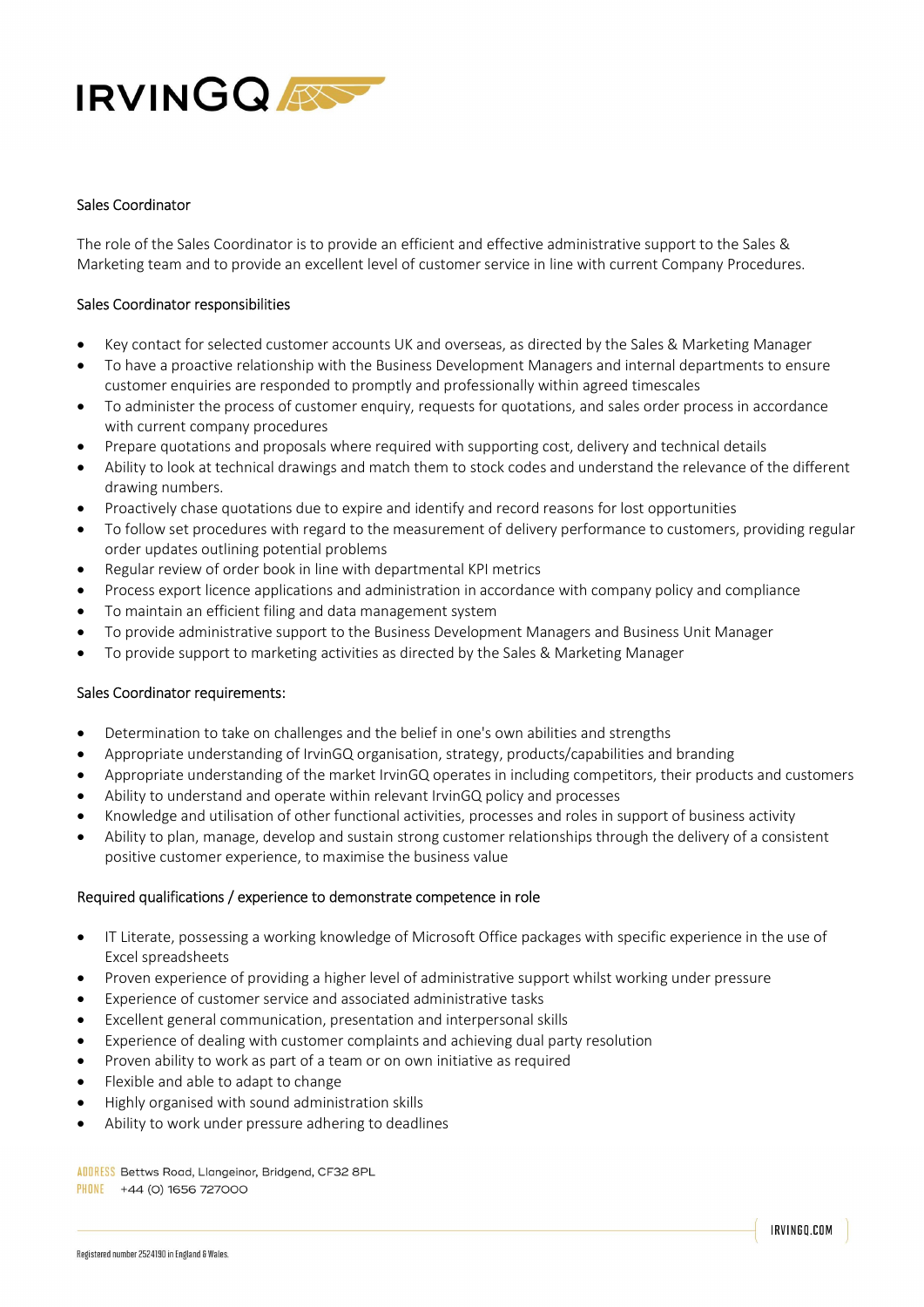

## Sales Coordinator

The role of the Sales Coordinator is to provide an efficient and effective administrative support to the Sales & Marketing team and to provide an excellent level of customer service in line with current Company Procedures.

## Sales Coordinator responsibilities

- Key contact for selected customer accounts UK and overseas, as directed by the Sales & Marketing Manager
- To have a proactive relationship with the Business Development Managers and internal departments to ensure customer enquiries are responded to promptly and professionally within agreed timescales
- To administer the process of customer enquiry, requests for quotations, and sales order process in accordance with current company procedures
- Prepare quotations and proposals where required with supporting cost, delivery and technical details
- Ability to look at technical drawings and match them to stock codes and understand the relevance of the different drawing numbers.
- Proactively chase quotations due to expire and identify and record reasons for lost opportunities
- To follow set procedures with regard to the measurement of delivery performance to customers, providing regular order updates outlining potential problems
- Regular review of order book in line with departmental KPI metrics
- Process export licence applications and administration in accordance with company policy and compliance
- To maintain an efficient filing and data management system
- To provide administrative support to the Business Development Managers and Business Unit Manager
- To provide support to marketing activities as directed by the Sales & Marketing Manager

## Sales Coordinator requirements:

- Determination to take on challenges and the belief in one's own abilities and strengths
- Appropriate understanding of IrvinGQ organisation, strategy, products/capabilities and branding
- Appropriate understanding of the market IrvinGQ operates in including competitors, their products and customers
- Ability to understand and operate within relevant IrvinGQ policy and processes
- Knowledge and utilisation of other functional activities, processes and roles in support of business activity
- Ability to plan, manage, develop and sustain strong customer relationships through the delivery of a consistent positive customer experience, to maximise the business value

## Required qualifications / experience to demonstrate competence in role

- IT Literate, possessing a working knowledge of Microsoft Office packages with specific experience in the use of Excel spreadsheets
- Proven experience of providing a higher level of administrative support whilst working under pressure
- Experience of customer service and associated administrative tasks
- Excellent general communication, presentation and interpersonal skills
- Experience of dealing with customer complaints and achieving dual party resolution
- Proven ability to work as part of a team or on own initiative as required
- Flexible and able to adapt to change
- Highly organised with sound administration skills
- Ability to work under pressure adhering to deadlines

ADDRESS Bettws Road, Llangeinor, Bridgend, CF32 8PL PHONE +44 (O) 1656 727000